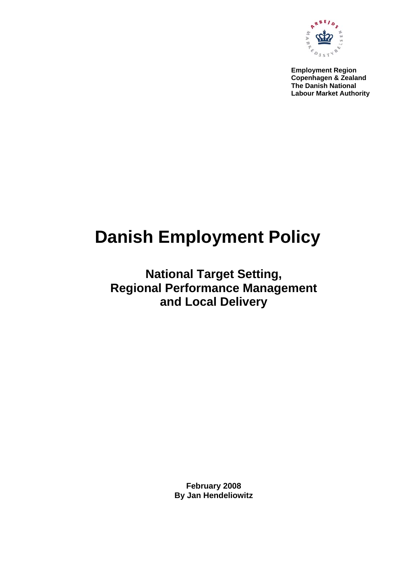

**Employment Region Copenhagen & Zealand The Danish National Labour Market Authority** 

# **Danish Employment Policy**

**National Target Setting, Regional Performance Management and Local Delivery** 

> **February 2008 By Jan Hendeliowitz**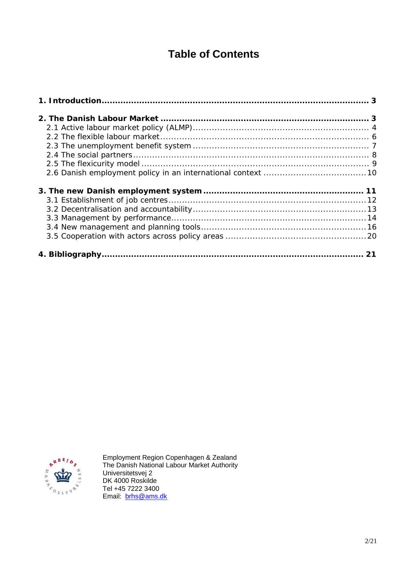# **Table of Contents**



Employment Region Copenhagen & Zealand The Danish National Labour Market Authority Universitetsvej 2 DK 4000 Roskilde Tel +45 7222 3400 Email: brhs@ams.dk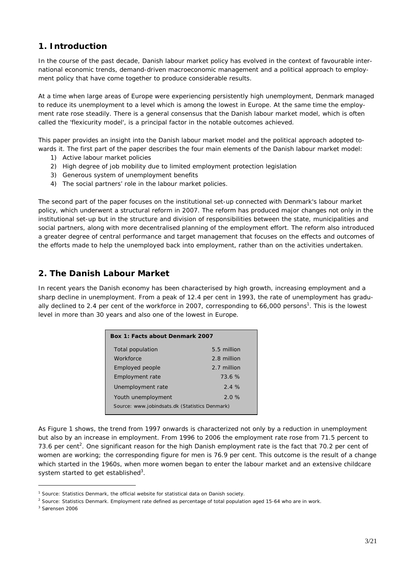# **1. Introduction**

In the course of the past decade, Danish labour market policy has evolved in the context of favourable international economic trends, demand-driven macroeconomic management and a political approach to employment policy that have come together to produce considerable results.

At a time when large areas of Europe were experiencing persistently high unemployment, Denmark managed to reduce its unemployment to a level which is among the lowest in Europe. At the same time the employment rate rose steadily. There is a general consensus that the Danish labour market model, which is often called the 'flexicurity model', is a principal factor in the notable outcomes achieved.

This paper provides an insight into the Danish labour market model and the political approach adopted towards it. The first part of the paper describes the four main elements of the Danish labour market model:

- 1) Active labour market policies
- 2) High degree of job mobility due to limited employment protection legislation
- 3) Generous system of unemployment benefits
- 4) The social partners' role in the labour market policies.

The second part of the paper focuses on the institutional set-up connected with Denmark's labour market policy, which underwent a structural reform in 2007. The reform has produced major changes not only in the institutional set-up but in the structure and division of responsibilities between the state, municipalities and social partners, along with more decentralised planning of the employment effort. The reform also introduced a greater degree of central performance and target management that focuses on the effects and outcomes of the efforts made to help the unemployed back into employment, rather than on the activities undertaken.

# **2. The Danish Labour Market**

In recent years the Danish economy has been characterised by high growth, increasing employment and a sharp decline in unemployment. From a peak of 12.4 per cent in 1993, the rate of unemployment has gradually declined to 2.4 per cent of the workforce in 2007, corresponding to 66,000 persons<sup>1</sup>. This is the lowest level in more than 30 years and also one of the lowest in Europe.

| Box 1: Facts about Denmark 2007                |             |  |  |  |
|------------------------------------------------|-------------|--|--|--|
| Total population                               | 5.5 million |  |  |  |
| Workforce                                      | 2.8 million |  |  |  |
| Employed people                                | 2.7 million |  |  |  |
| Employment rate                                | 73.6%       |  |  |  |
| Unemployment rate                              | 2.4%        |  |  |  |
| Youth unemployment                             | 2.0%        |  |  |  |
| Source: www.jobindsats.dk (Statistics Denmark) |             |  |  |  |

As Figure 1 shows, the trend from 1997 onwards is characterized not only by a reduction in unemployment but also by an increase in employment. From 1996 to 2006 the employment rate rose from 71.5 percent to 73.6 per cent<sup>2</sup>. One significant reason for the high Danish employment rate is the fact that 70.2 per cent of women are working; the corresponding figure for men is 76.9 per cent. This outcome is the result of a change which started in the 1960s, when more women began to enter the labour market and an extensive childcare system started to get established<sup>3</sup>.

<sup>&</sup>lt;sup>1</sup> Source: Statistics Denmark, the official website for statistical data on Danish society.

<sup>&</sup>lt;sup>2</sup> Source: Statistics Denmark. Employment rate defined as percentage of total population aged 15-64 who are in work.

<sup>3</sup> Sørensen 2006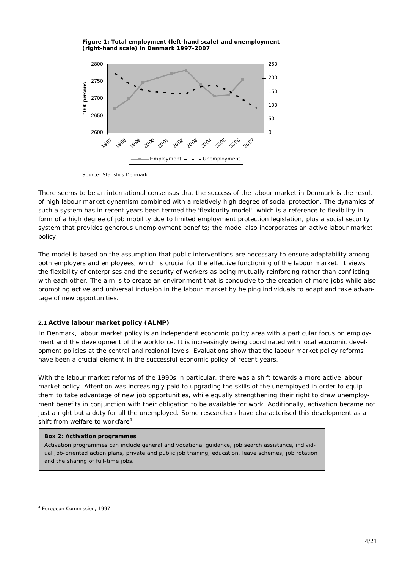*Figure 1: Total employment (left-hand scale) and unemployment (right-hand scale) in Denmark 1997-2007* 



*Source: Statistics Denmark* 

There seems to be an international consensus that the success of the labour market in Denmark is the result of high labour market dynamism combined with a relatively high degree of social protection. The dynamics of such a system has in recent years been termed the 'flexicurity model', which is a reference to *flexibility* in form of a high degree of job mobility due to limited employment protection legislation, plus a *social security* system that provides generous unemployment benefits; the model also incorporates an active labour market policy.

The model is based on the assumption that public interventions are necessary to ensure adaptability among both employers and employees, which is crucial for the effective functioning of the labour market. It views the flexibility of enterprises and the security of workers as being mutually reinforcing rather than conflicting with each other. The aim is to create an environment that is conducive to the creation of more jobs while also promoting active and universal inclusion in the labour market by helping individuals to adapt and take advantage of new opportunities.

# **2.1 Active labour market policy (ALMP)**

In Denmark, labour market policy is an independent economic policy area with a particular focus on employment and the development of the workforce. It is increasingly being coordinated with local economic development policies at the central and regional levels. Evaluations show that the labour market policy reforms have been a crucial element in the successful economic policy of recent years.

With the labour market reforms of the 1990s in particular, there was a shift towards a more active labour market policy. Attention was increasingly paid to upgrading the skills of the unemployed in order to equip them to take advantage of new job opportunities, while equally strengthening their right to draw unemployment benefits in conjunction with their obligation to be available for work. Additionally, activation became not just a right but a duty for all the unemployed. Some researchers have characterised this development as a shift from welfare to workfare<sup>4</sup>.

# **Box 2: Activation programmes**

Activation programmes can include general and vocational guidance, job search assistance, individual job-oriented action plans, private and public job training, education, leave schemes, job rotation and the sharing of full-time jobs.

<sup>4</sup> European Commission, 1997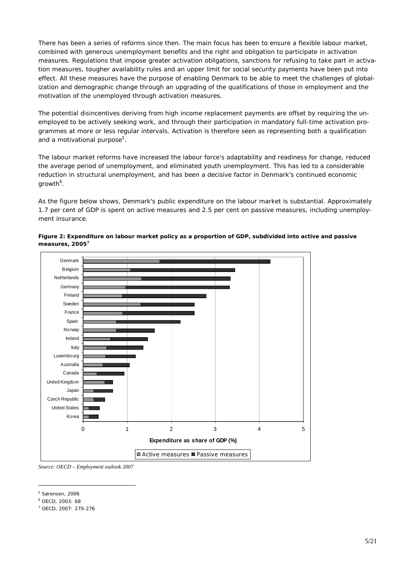There has been a series of reforms since then. The main focus has been to ensure a flexible labour market, combined with generous unemployment benefits and the right and obligation to participate in activation measures. Regulations that impose greater activation obligations, sanctions for refusing to take part in activation measures, tougher availability rules and an upper limit for social security payments have been put into effect. All these measures have the purpose of enabling Denmark to be able to meet the challenges of globalization and demographic change through an upgrading of the qualifications of those in employment and the motivation of the unemployed through activation measures.

The potential disincentives deriving from high income replacement payments are offset by requiring the unemployed to be actively seeking work, and through their participation in mandatory full-time activation programmes at more or less regular intervals. Activation is therefore seen as representing both a qualification and a motivational purpose<sup>5</sup>.

The labour market reforms have increased the labour force's adaptability and readiness for change, reduced the average period of unemployment, and eliminated youth unemployment. This has led to a considerable reduction in structural unemployment, and has been a decisive factor in Denmark's continued economic growth $^6$ .

As the figure below shows, Denmark's public expenditure on the labour market is substantial. Approximately 1.7 per cent of GDP is spent on active measures and 2.5 per cent on passive measures, including unemployment insurance.



*Figure 2: Expenditure on labour market policy as a proportion of GDP, subdivided into active and passive measures, 20057* 

*Source: OECD – Employment outlook 2007* 

<sup>5</sup> Sørensen, 2006

<sup>6</sup> OECD, 2003: 68

<sup>7</sup> OECD, 2007: 270-276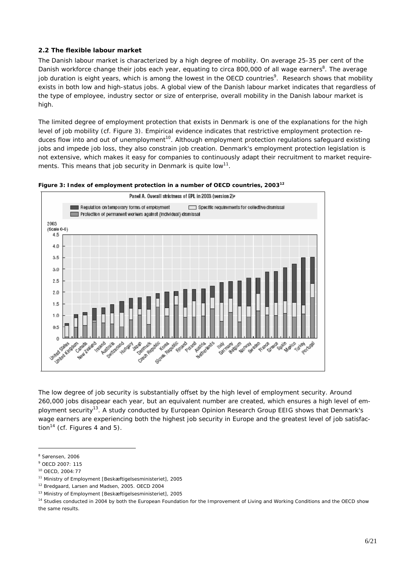# **2.2 The flexible labour market**

The Danish labour market is characterized by a high degree of mobility. On average 25-35 per cent of the Danish workforce change their jobs each year, equating to circa 800,000 of all wage earners<sup>8</sup>. The average job duration is eight years, which is among the lowest in the OECD countries<sup>9</sup>. Research shows that mobility exists in both low and high-status jobs. A global view of the Danish labour market indicates that regardless of the type of employee, industry sector or size of enterprise, overall mobility in the Danish labour market is high.

The limited degree of employment protection that exists in Denmark is one of the explanations for the high level of job mobility (cf. Figure 3). Empirical evidence indicates that restrictive employment protection reduces flow into and out of unemployment<sup>10</sup>. Although employment protection regulations safeguard existing jobs and impede job loss, they also constrain job creation. Denmark's employment protection legislation is not extensive, which makes it easy for companies to continuously adapt their recruitment to market requirements. This means that job security in Denmark is quite  $\text{low}^{11}$ .





The low degree of job security is substantially offset by the high level of employment security. Around 260,000 jobs disappear each year, but an equivalent number are created, which ensures a high level of employment security<sup>13</sup>. A study conducted by European Opinion Research Group EEIG shows that Denmark's wage earners are experiencing both the highest job security in Europe and the greatest level of job satisfaction<sup>14</sup> (cf. Figures 4 and 5).

<sup>8</sup> Sørensen, 2006

<sup>9</sup> OECD 2007: 115

<sup>10</sup> OECD, 2004:77

<sup>11</sup> Ministry of Employment [Beskæftigelsesministeriet], 2005

<sup>12</sup> Bredgaard, Larsen and Madsen, 2005. OECD 2004

<sup>13</sup> Ministry of Employment [Beskæftigelsesministeriet], 2005

<sup>&</sup>lt;sup>14</sup> Studies conducted in 2004 by both the European Foundation for the Improvement of Living and Working Conditions and the OECD show the same results.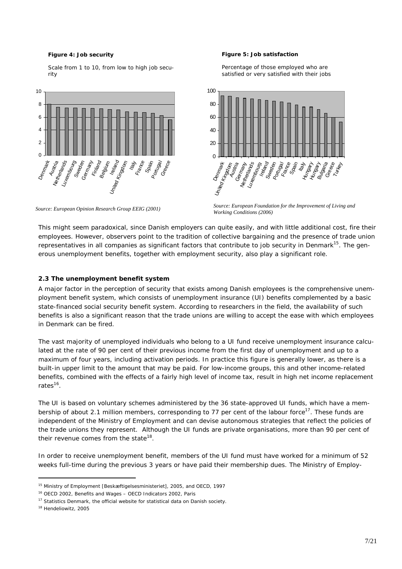#### *Figure 4: Job security*

Scale from 1 to 10, from low to high job security



#### *Figure 5: Job satisfaction*

Percentage of those employed who are satisfied or very satisfied with their jobs



*Source: European Opinion Research Group EEIG (2001)* 

*Source: European Foundation for the Improvement of Living and Working Conditions (2006)*

This might seem paradoxical, since Danish employers can quite easily, and with little additional cost, fire their employees. However, observers point to the tradition of collective bargaining and the presence of trade union representatives in all companies as significant factors that contribute to job security in Denmark<sup>15</sup>. The generous unemployment benefits, together with employment security, also play a significant role.

#### **2.3 The unemployment benefit system**

A major factor in the perception of security that exists among Danish employees is the comprehensive unemployment benefit system, which consists of unemployment insurance (UI) benefits complemented by a basic state-financed social security benefit system. According to researchers in the field, the availability of such benefits is also a significant reason that the trade unions are willing to accept the ease with which employees in Denmark can be fired.

The vast majority of unemployed individuals who belong to a UI fund receive *unemployment insurance* calculated at the rate of 90 per cent of their previous income from the first day of unemployment and up to a maximum of four years, including activation periods. In practice this figure is generally lower, as there is a built-in upper limit to the amount that may be paid. For low-income groups, this and other income-related benefits, combined with the effects of a fairly high level of income tax, result in high net income replacement rates $16$ .

The UI is based on voluntary schemes administered by the 36 state-approved UI funds, which have a membership of about 2.1 million members, corresponding to 77 per cent of the labour force<sup>17</sup>. These funds are independent of the Ministry of Employment and can devise autonomous strategies that reflect the policies of the trade unions they represent. Although the UI funds are private organisations, more than 90 per cent of their revenue comes from the state<sup>18</sup>.

In order to receive unemployment benefit, members of the UI fund must have worked for a minimum of 52 weeks full-time during the previous 3 years or have paid their membership dues. The Ministry of Employ-

<sup>15</sup> Ministry of Employment [Beskæftigelsesministeriet], 2005, and OECD, 1997

<sup>16</sup> OECD 2002, *Benefits and Wages – OECD Indicators 2002*, Paris

 $17$  Statistics Denmark, the official website for statistical data on Danish society.

<sup>18</sup> Hendeliowitz, 2005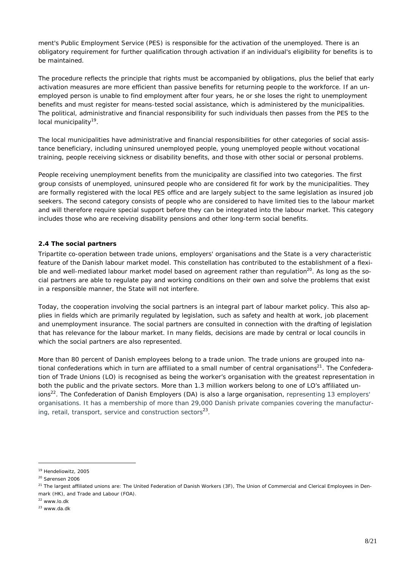ment's Public Employment Service (PES) is responsible for the activation of the unemployed. There is an obligatory requirement for further qualification through activation if an individual's eligibility for benefits is to be maintained.

The procedure reflects the principle that rights must be accompanied by obligations, plus the belief that early activation measures are more efficient than passive benefits for returning people to the workforce. If an unemployed person is unable to find employment after four years, he or she loses the right to unemployment benefits and must register for means-tested social assistance, which is administered by the municipalities. The political, administrative and financial responsibility for such individuals then passes from the PES to the local municipality<sup>19</sup>.

The local municipalities have administrative and financial responsibilities for other categories of social assistance beneficiary, including uninsured unemployed people, young unemployed people without vocational training, people receiving sickness or disability benefits, and those with other social or personal problems.

People receiving unemployment benefits from the municipality are classified into two categories. The first group consists of unemployed, uninsured people who are considered fit for work by the municipalities. They are formally registered with the local PES office and are largely subject to the same legislation as insured job seekers. The second category consists of people who are considered to have limited ties to the labour market and will therefore require special support before they can be integrated into the labour market. This category includes those who are receiving disability pensions and other long-term social benefits.

# **2.4 The social partners**

Tripartite co-operation between trade unions, employers' organisations and the State is a very characteristic feature of the Danish labour market model. This constellation has contributed to the establishment of a flexible and well-mediated labour market model based on agreement rather than regulation<sup>20</sup>. As long as the social partners are able to regulate pay and working conditions on their own and solve the problems that exist in a responsible manner, the State will not interfere.

Today, the cooperation involving the social partners is an integral part of labour market policy. This also applies in fields which are primarily regulated by legislation, such as safety and health at work, job placement and unemployment insurance. The social partners are consulted in connection with the drafting of legislation that has relevance for the labour market. In many fields, decisions are made by central or local councils in which the social partners are also represented.

More than 80 percent of Danish employees belong to a trade union. The trade unions are grouped into national confederations which in turn are affiliated to a small number of central organisations<sup>21</sup>. The Confederation of Trade Unions (LO) is recognised as being the worker's organisation with the greatest representation in both the public and the private sectors. More than 1.3 million workers belong to one of LO's affiliated unions<sup>22</sup>. The Confederation of Danish Employers (DA) is also a large organisation, representing 13 employers' organisations. It has a membership of more than 29,000 Danish private companies covering the manufacturing, retail, transport, service and construction sectors $^{23}$ .

<sup>19</sup> Hendeliowitz, 2005

<sup>20</sup> Sørensen 2006

<sup>&</sup>lt;sup>21</sup> The largest affiliated unions are: The United Federation of Danish Workers (3F). The Union of Commercial and Clerical Employees in Denmark (HK), and Trade and Labour (FOA).

 $22$  www.lo.dk

<sup>23</sup> www.da.dk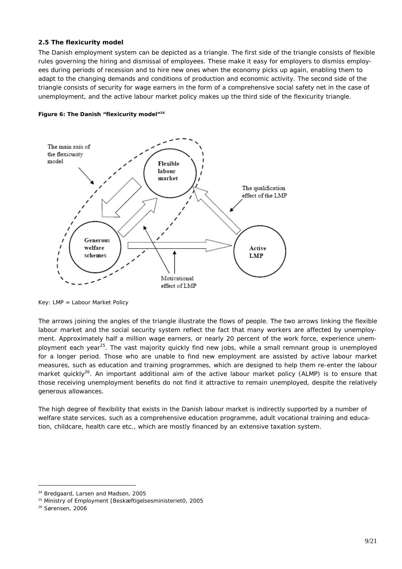## **2.5 The flexicurity model**

The Danish employment system can be depicted as a triangle. The *first* side of the triangle consists of flexible rules governing the hiring and dismissal of employees. These make it easy for employers to dismiss employees during periods of recession and to hire new ones when the economy picks up again, enabling them to adapt to the changing demands and conditions of production and economic activity. The *second* side of the triangle consists of security for wage earners in the form of a comprehensive social safety net in the case of unemployment, and the active labour market policy makes up the *third* side of the flexicurity triangle.





*Key: LMP = Labour Market Policy* 

The arrows joining the angles of the triangle illustrate the flows of people. The two arrows linking the flexible labour market and the social security system reflect the fact that many workers are affected by unemployment. Approximately half a million wage earners, or nearly 20 percent of the work force, experience unemployment each year25. The vast majority quickly find new jobs, while a small remnant group is unemployed for a longer period. Those who are unable to find new employment are assisted by active labour market measures, such as education and training programmes, which are designed to help them re-enter the labour market quickly<sup>26</sup>. An important additional aim of the active labour market policy (ALMP) is to ensure that those receiving unemployment benefits do not find it attractive to remain unemployed, despite the relatively generous allowances.

The high degree of flexibility that exists in the Danish labour market is indirectly supported by a number of welfare state services, such as a comprehensive education programme, adult vocational training and education, childcare, health care etc., which are mostly financed by an extensive taxation system.

<sup>24</sup> Bredgaard, Larsen and Madsen, 2005

<sup>25</sup> Ministry of Employment [Beskæftigelsesministeriet0, 2005

<sup>26</sup> Sørensen, 2006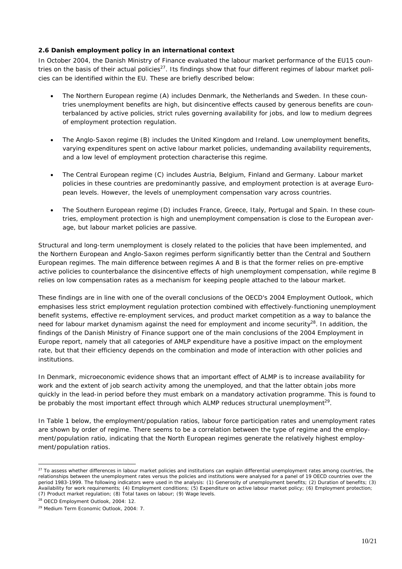## **2.6 Danish employment policy in an international context**

In October 2004, the Danish Ministry of Finance evaluated the labour market performance of the EU15 countries on the basis of their actual policies<sup>27</sup>. Its findings show that four different regimes of labour market policies can be identified within the EU. These are briefly described below:

- The *Northern European* regime (A) includes Denmark, the Netherlands and Sweden. In these countries unemployment benefits are high, but disincentive effects caused by generous benefits are counterbalanced by active policies, strict rules governing availability for jobs, and low to medium degrees of employment protection regulation.
- The *Anglo-Saxon* regime (B) includes the United Kingdom and Ireland. Low unemployment benefits, varying expenditures spent on active labour market policies, undemanding availability requirements, and a low level of employment protection characterise this regime.
- The *Central European* regime (C) includes Austria, Belgium, Finland and Germany. Labour market policies in these countries are predominantly passive, and employment protection is at average European levels. However, the levels of unemployment compensation vary across countries.
- The *Southern European* regime (D) includes France, Greece, Italy, Portugal and Spain. In these countries, employment protection is high and unemployment compensation is close to the European average, but labour market policies are passive.

Structural and long-term unemployment is closely related to the policies that have been implemented, and the Northern European and Anglo-Saxon regimes perform significantly better than the Central and Southern European regimes. The main difference between regimes A and B is that the former relies on pre-emptive active policies to counterbalance the disincentive effects of high unemployment compensation, while regime B relies on low compensation rates as a mechanism for keeping people attached to the labour market.

These findings are in line with one of the overall conclusions of the OECD's 2004 *Employment Outlook*, which emphasises less strict employment regulation protection combined with effectively-functioning unemployment benefit systems, effective re-employment services, and product market competition as a way to balance the need for labour market dynamism against the need for employment and income security<sup>28</sup>. In addition, the findings of the Danish Ministry of Finance support one of the main conclusions of the 2004 *Employment in Europe* report, namely that all categories of AMLP expenditure have a positive impact on the employment rate, but that their efficiency depends on the combination and mode of interaction with other policies and institutions.

In Denmark, microeconomic evidence shows that an important effect of ALMP is to increase availability for work and the extent of job search activity among the unemployed, and that the latter obtain jobs more quickly in the lead-in period before they must embark on a mandatory activation programme. This is found to be probably the most important effect through which ALMP reduces structural unemployment<sup>29</sup>.

In Table 1 below, the employment/population ratios, labour force participation rates and unemployment rates are shown by order of regime. There seems to be a correlation between the type of regime and the employment/population ratio, indicating that the North European regimes generate the relatively highest employment/population ratios.

<sup>&</sup>lt;sup>27</sup> To assess whether differences in labour market policies and institutions can explain differential unemployment rates among countries, the relationships between the unemployment rates versus the policies and institutions were analysed for a panel of 19 OECD countries over the period 1983-1999. The following indicators were used in the analysis: (1) Generosity of unemployment benefits; (2) Duration of benefits; (3) Availability for work requirements; (4) Employment conditions; (5) Expenditure on active labour market policy; (6) Employment protection; (7) Product market regulation; (8) Total taxes on labour; (9) Wage levels.

<sup>28</sup> OECD *Employment Outlook*, 2004: 12.

<sup>29</sup> *Medium Term Economic Outlook*, 2004: 7.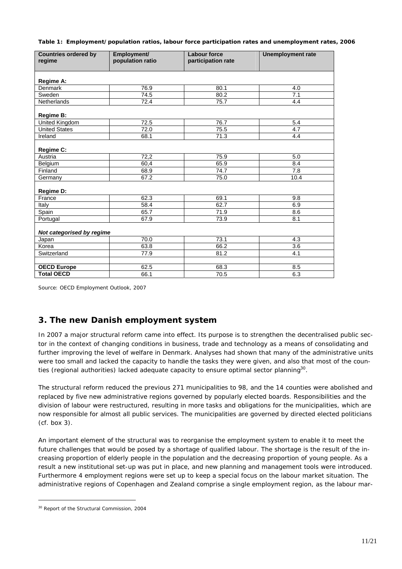*Table 1: Employment/population ratios, labour force participation rates and unemployment rates, 2006* 

| <b>Countries ordered by</b> | Employment/      | <b>Labour force</b> | <b>Unemployment rate</b> |
|-----------------------------|------------------|---------------------|--------------------------|
| regime                      | population ratio | participation rate  |                          |
|                             |                  |                     |                          |
|                             |                  |                     |                          |
| Regime A:<br>Denmark        | 76.9             | 80.1                | 4.0                      |
| Sweden                      | 74.5             | 80.2                | 7.1                      |
| <b>Netherlands</b>          | 72.4             | 75.7                | 4.4                      |
|                             |                  |                     |                          |
| Regime B:                   |                  |                     |                          |
| <b>United Kingdom</b>       | 72.5             | 76.7                | 5.4                      |
| <b>United States</b>        | 72.0             | 75.5                | 4.7                      |
| Ireland                     | 68.1             | 71.3                | 4.4                      |
|                             |                  |                     |                          |
| Regime C:                   |                  |                     |                          |
| Austria                     | 72,2             | 75.9                | 5.0                      |
| Belgium                     | 60,4             | 65.9                | 8.4                      |
| Finland                     | 68.9             | 74.7                | 7.8                      |
| Germany                     | 67.2             | 75.0                | 10.4                     |
|                             |                  |                     |                          |
| Regime D:                   |                  |                     |                          |
| France                      | 62.3             | 69.1                | 9.8                      |
| Italy                       | 58.4             | 62.7                | 6.9                      |
| Spain                       | 65.7             | 71.9                | 8.6                      |
| Portugal                    | 67.9             | 73.9                | 8.1                      |
|                             |                  |                     |                          |
| Not categorised by regime   |                  |                     |                          |
| Japan                       | 70.0             | 73.1                | 4.3                      |
| Korea                       | 63.8             | 66.2                | 3.6                      |
| Switzerland                 | 77.9             | 81.2                | 4.1                      |
|                             |                  |                     |                          |
| <b>OECD Europe</b>          | 62.5             | 68.3                | 8.5                      |
| <b>Total OECD</b>           | 66.1             | 70.5                | 6.3                      |

Source: *OECD Employment Outlook,* 2007

# **3. The new Danish employment system**

In 2007 a major structural reform came into effect. Its purpose is to strengthen the decentralised public sector in the context of changing conditions in business, trade and technology as a means of consolidating and further improving the level of welfare in Denmark. Analyses had shown that many of the administrative units were too small and lacked the capacity to handle the tasks they were given, and also that most of the counties (regional authorities) lacked adequate capacity to ensure optimal sector planning $30$ .

The structural reform reduced the previous 271 municipalities to 98, and the 14 counties were abolished and replaced by five new administrative regions governed by popularly elected boards. Responsibilities and the division of labour were restructured, resulting in more tasks and obligations for the municipalities, which are now responsible for almost all public services. The municipalities are governed by directed elected politicians (cf. box 3).

An important element of the structural was to reorganise the employment system to enable it to meet the future challenges that would be posed by a shortage of qualified labour. The shortage is the result of the increasing proportion of elderly people in the population and the decreasing proportion of young people. As a result a new institutional set-up was put in place, and new planning and management tools were introduced. Furthermore 4 employment regions were set up to keep a special focus on the labour market situation. The administrative regions of Copenhagen and Zealand comprise a single employment region, as the labour mar-

<sup>30</sup> Report of the Structural Commission, 2004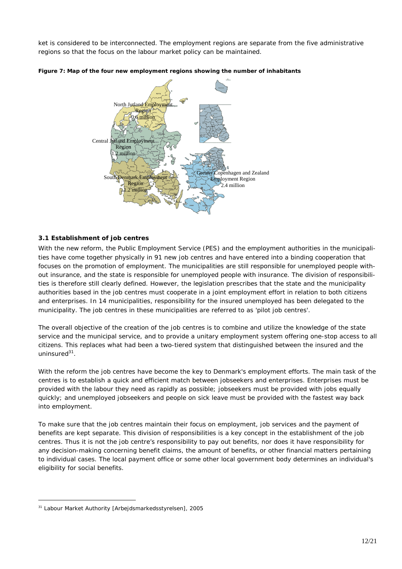ket is considered to be interconnected. The employment regions are separate from the five administrative regions so that the focus on the labour market policy can be maintained.





#### **3.1 Establishment of job centres**

With the new reform, the Public Employment Service (PES) and the employment authorities in the municipalities have come together physically in 91 new job centres and have entered into a binding cooperation that focuses on the promotion of employment. The municipalities are still responsible for unemployed people without insurance, and the state is responsible for unemployed people with insurance. The division of responsibilities is therefore still clearly defined. However, the legislation prescribes that the state and the municipality authorities based in the job centres must cooperate in a joint employment effort in relation to both citizens and enterprises. In 14 municipalities, responsibility for the insured unemployed has been delegated to the municipality. The job centres in these municipalities are referred to as 'pilot job centres'.

The overall objective of the creation of the job centres is to combine and utilize the knowledge of the state service and the municipal service, and to provide a unitary employment system offering one-stop access to all citizens. This replaces what had been a two-tiered system that distinguished between the insured and the uninsure $d^{31}$ .

With the reform the job centres have become the key to Denmark's employment efforts. The main task of the centres is to establish a quick and efficient match between jobseekers and enterprises. Enterprises must be provided with the labour they need as rapidly as possible; jobseekers must be provided with jobs equally quickly; and unemployed jobseekers and people on sick leave must be provided with the fastest way back into employment.

To make sure that the job centres maintain their focus on employment, job services and the payment of benefits are kept separate. This division of responsibilities is a key concept in the establishment of the job centres. Thus it is not the job centre's responsibility to pay out benefits, nor does it have responsibility for any decision-making concerning benefit claims, the amount of benefits, or other financial matters pertaining to individual cases. The local payment office or some other local government body determines an individual's eligibility for social benefits.

<sup>31</sup> Labour Market Authority [Arbejdsmarkedsstyrelsen], 2005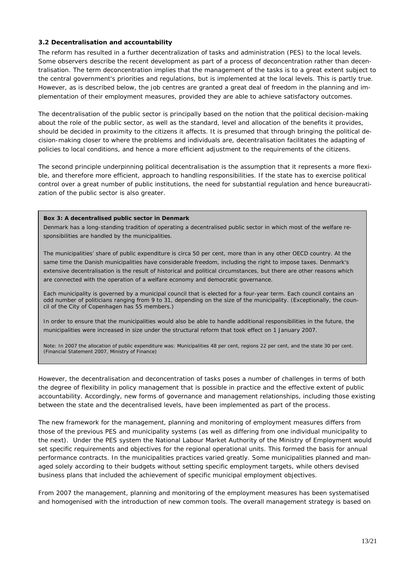## **3.2 Decentralisation and accountability**

The reform has resulted in a further decentralization of tasks and administration (PES) to the local levels. Some observers describe the recent development as part of a process of deconcentration rather than decentralisation. The term deconcentration implies that the management of the tasks is to a great extent subject to the central government's priorities and regulations, but is implemented at the local levels. This is partly true. However, as is described below, the job centres are granted a great deal of freedom in the planning and implementation of their employment measures, provided they are able to achieve satisfactory outcomes.

The decentralisation of the public sector is principally based on the notion that the political decision-making about the role of the public sector, as well as the standard, level and allocation of the benefits it provides, should be decided in proximity to the citizens it affects. It is presumed that through bringing the political decision-making closer to where the problems and individuals are, decentralisation facilitates the adapting of policies to local conditions, and hence a more efficient adjustment to the requirements of the citizens.

The second principle underpinning political decentralisation is the assumption that it represents a more flexible, and therefore more efficient, approach to handling responsibilities. If the state has to exercise political control over a great number of public institutions, the need for substantial regulation and hence bureaucratization of the public sector is also greater.

#### **Box 3: A decentralised public sector in Denmark**

Denmark has a long-standing tradition of operating a decentralised public sector in which most of the welfare responsibilities are handled by the municipalities.

The municipalities' share of public expenditure is circa 50 per cent, more than in any other OECD country. At the same time the Danish municipalities have considerable freedom, including the right to impose taxes. Denmark's extensive decentralisation is the result of historical and political circumstances, but there are other reasons which are connected with the operation of a welfare economy and democratic governance.

Each municipality is governed by a municipal council that is elected for a four-year term. Each council contains an odd number of politicians ranging from 9 to 31, depending on the size of the municipality. (Exceptionally, the council of the City of Copenhagen has 55 members.)

In order to ensure that the municipalities would also be able to handle additional responsibilities in the future, the municipalities were increased in size under the structural reform that took effect on 1 January 2007.

*Note: In 2007 the allocation of public expenditure was: Municipalities 48 per cent, regions 22 per cent, and the state 30 per cent. (Financial Statement 2007, Ministry of Finance)* 

However, the decentralisation and deconcentration of tasks poses a number of challenges in terms of both the degree of flexibility in policy management that is possible in practice and the effective extent of public accountability. Accordingly, new forms of governance and management relationships, including those existing between the state and the decentralised levels, have been implemented as part of the process.

The new framework for the management, planning and monitoring of employment measures differs from those of the previous PES and municipality systems (as well as differing from one individual municipality to the next). Under the PES system the National Labour Market Authority of the Ministry of Employment would set specific requirements and objectives for the regional operational units. This formed the basis for annual performance contracts. In the municipalities practices varied greatly. Some municipalities planned and managed solely according to their budgets without setting specific employment targets, while others devised business plans that included the achievement of specific municipal employment objectives.

From 2007 the management, planning and monitoring of the employment measures has been systematised and homogenised with the introduction of new common tools. The overall management strategy is based on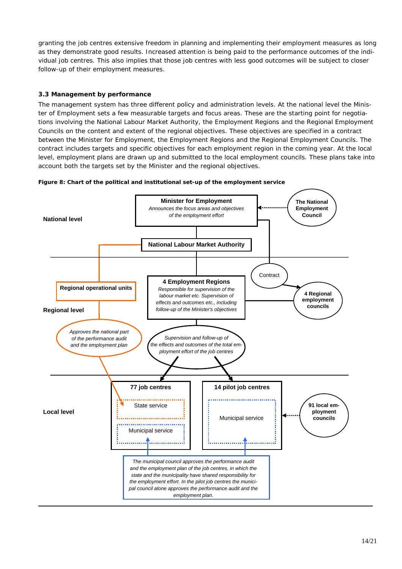granting the job centres extensive freedom in planning and implementing their employment measures as long as they demonstrate good results. Increased attention is being paid to the performance outcomes of the individual job centres. This also implies that those job centres with less good outcomes will be subject to closer follow-up of their employment measures.

# **3.3 Management by performance**

The management system has three different policy and administration levels. At the national level the Minister of Employment sets a few measurable targets and focus areas. These are the starting point for negotiations involving the National Labour Market Authority, the Employment Regions and the Regional Employment Councils on the content and extent of the regional objectives. These objectives are specified in a contract between the Minister for Employment, the Employment Regions and the Regional Employment Councils. The contract includes targets and specific objectives for each employment region in the coming year. At the local level, employment plans are drawn up and submitted to the local employment councils. These plans take into account both the targets set by the Minister and the regional objectives.



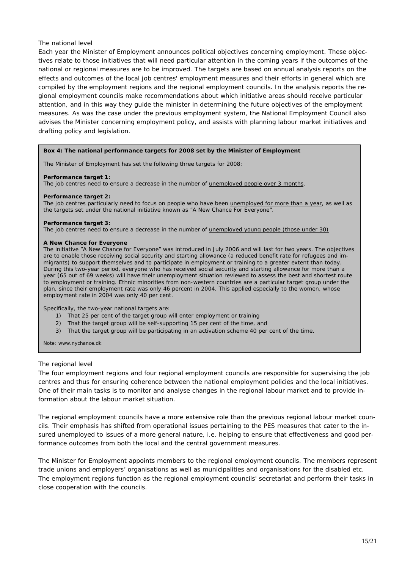## *The national level*

Each year the Minister of Employment announces political objectives concerning employment. These objectives relate to those initiatives that will need particular attention in the coming years if the outcomes of the national or regional measures are to be improved. The targets are based on annual analysis reports on the effects and outcomes of the local job centres' employment measures and their efforts in general which are compiled by the employment regions and the regional employment councils. In the analysis reports the regional employment councils make recommendations about which initiative areas should receive particular attention, and in this way they guide the minister in determining the future objectives of the employment measures. As was the case under the previous employment system, the National Employment Council also advises the Minister concerning employment policy, and assists with planning labour market initiatives and drafting policy and legislation.

#### **Box 4: The national performance targets for 2008 set by the Minister of Employment**

The Minister of Employment has set the following three targets for 2008:

#### **Performance target 1:**

The job centres need to ensure a decrease in the number of unemployed people over 3 months.

#### **Performance target 2:**

The job centres particularly need to focus on people who have been unemployed for more than a year, as well as the targets set under the national initiative known as "A New Chance For Everyone".

#### **Performance target 3:**

The job centres need to ensure a decrease in the number of unemployed young people (those under 30)

#### **A New Chance for Everyone**

The initiative "A New Chance for Everyone" was introduced in July 2006 and will last for two years. The objectives are to enable those receiving social security and starting allowance (a reduced benefit rate for refugees and immigrants) to support themselves and to participate in employment or training to a greater extent than today. During this two-year period, everyone who has received social security and starting allowance for more than a year (65 out of 69 weeks) will have their unemployment situation reviewed to assess the best and shortest route to employment or training. Ethnic minorities from non-western countries are a particular target group under the plan, since their employment rate was only 46 percent in 2004. This applied especially to the women, whose employment rate in 2004 was only 40 per cent.

Specifically, the two-year national targets are:

- 1) That 25 per cent of the target group will enter employment or training
- 2) That the target group will be self-supporting 15 per cent of the time, and
- 3) That the target group will be participating in an activation scheme 40 per cent of the time.

*Note: www.nychance.dk* 

#### *The regional level*

The four employment regions and four regional employment councils are responsible for supervising the job centres and thus for ensuring coherence between the national employment policies and the local initiatives. One of their main tasks is to monitor and analyse changes in the regional labour market and to provide information about the labour market situation.

The regional employment councils have a more extensive role than the previous regional labour market councils. Their emphasis has shifted from operational issues pertaining to the PES measures that cater to the insured unemployed to issues of a more general nature, i.e. helping to ensure that effectiveness and good performance outcomes from both the local and the central government measures.

The Minister for Employment appoints members to the regional employment councils. The members represent trade unions and employers' organisations as well as municipalities and organisations for the disabled etc. The employment regions function as the regional employment councils' secretariat and perform their tasks in close cooperation with the councils.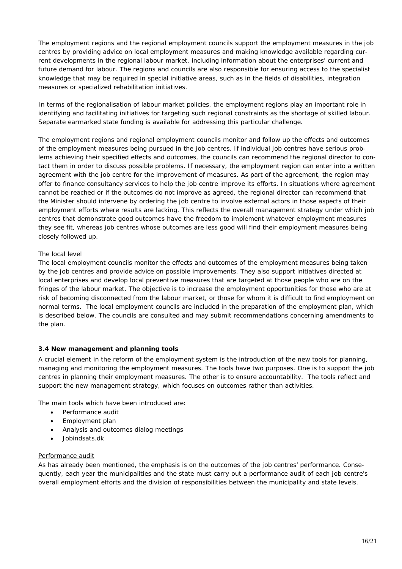The employment regions and the regional employment councils support the employment measures in the job centres by providing advice on local employment measures and making knowledge available regarding current developments in the regional labour market, including information about the enterprises' current and future demand for labour. The regions and councils are also responsible for ensuring access to the specialist knowledge that may be required in special initiative areas, such as in the fields of disabilities, integration measures or specialized rehabilitation initiatives.

In terms of the regionalisation of labour market policies, the employment regions play an important role in identifying and facilitating initiatives for targeting such regional constraints as the shortage of skilled labour. Separate earmarked state funding is available for addressing this particular challenge.

The employment regions and regional employment councils monitor and follow up the effects and outcomes of the employment measures being pursued in the job centres. If individual job centres have serious problems achieving their specified effects and outcomes, the councils can recommend the regional director to contact them in order to discuss possible problems. If necessary, the employment region can enter into a written agreement with the job centre for the improvement of measures. As part of the agreement, the region may offer to finance consultancy services to help the job centre improve its efforts. In situations where agreement cannot be reached or if the outcomes do not improve as agreed, the regional director can recommend that the Minister should intervene by ordering the job centre to involve external actors in those aspects of their employment efforts where results are lacking. This reflects the overall management strategy under which job centres that demonstrate good outcomes have the freedom to implement whatever employment measures they see fit, whereas job centres whose outcomes are less good will find their employment measures being closely followed up.

# *The local level*

The local employment councils monitor the effects and outcomes of the employment measures being taken by the job centres and provide advice on possible improvements. They also support initiatives directed at local enterprises and develop local preventive measures that are targeted at those people who are on the fringes of the labour market. The objective is to increase the employment opportunities for those who are at risk of becoming disconnected from the labour market, or those for whom it is difficult to find employment on normal terms. The local employment councils are included in the preparation of the employment plan, which is described below. The councils are consulted and may submit recommendations concerning amendments to the plan.

# **3.4 New management and planning tools**

A crucial element in the reform of the employment system is the introduction of the new tools for planning, managing and monitoring the employment measures. The tools have two purposes. One is to support the job centres in planning their employment measures. The other is to ensure accountability. The tools reflect and support the new management strategy, which focuses on outcomes rather than activities.

The main tools which have been introduced are:

- Performance audit
- Employment plan
- Analysis and outcomes dialog meetings
- Jobindsats.dk

# *Performance audit*

As has already been mentioned, the emphasis is on the outcomes of the job centres' performance. Consequently, each year the municipalities and the state must carry out a performance audit of each job centre's overall employment efforts and the division of responsibilities between the municipality and state levels.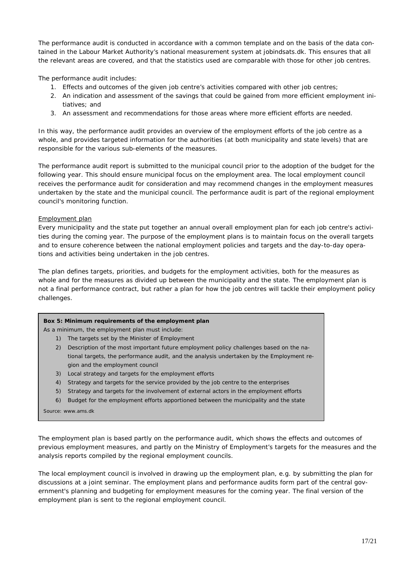The performance audit is conducted in accordance with a common template and on the basis of the data contained in the Labour Market Authority's national measurement system at *jobindsats.dk*. This ensures that all the relevant areas are covered, and that the statistics used are comparable with those for other job centres.

The performance audit includes:

- 1. Effects and outcomes of the given job centre's activities compared with other job centres;
- 2. An indication and assessment of the savings that could be gained from more efficient employment initiatives; and
- 3. An assessment and recommendations for those areas where more efficient efforts are needed.

In this way, the performance audit provides an overview of the employment efforts of the job centre as a whole, and provides targeted information for the authorities (at both municipality and state levels) that are responsible for the various sub-elements of the measures.

The performance audit report is submitted to the municipal council prior to the adoption of the budget for the following year. This should ensure municipal focus on the employment area. The local employment council receives the performance audit for consideration and may recommend changes in the employment measures undertaken by the state and the municipal council. The performance audit is part of the regional employment council's monitoring function.

## *Employment plan*

Every municipality and the state put together an annual overall employment plan for each job centre's activities during the coming year. The purpose of the employment plans is to maintain focus on the overall targets and to ensure coherence between the national employment policies and targets and the day-to-day operations and activities being undertaken in the job centres.

The plan defines targets, priorities, and budgets for the employment activities, both for the measures as whole and for the measures as divided up between the municipality and the state. The employment plan is not a final performance contract, but rather a plan for how the job centres will tackle their employment policy challenges.

#### **Box 5: Minimum requirements of the employment plan**

As a minimum, the employment plan must include:

- 1) The targets set by the Minister of Employment
- 2) Description of the most important future employment policy challenges based on the national targets, the performance audit, and the analysis undertaken by the Employment region and the employment council
- 3) Local strategy and targets for the employment efforts
- 4) Strategy and targets for the service provided by the job centre to the enterprises
- 5) Strategy and targets for the involvement of external actors in the employment efforts
- 6) Budget for the employment efforts apportioned between the municipality and the state

*Source: www.ams.dk* 

The employment plan is based partly on the performance audit, which shows the effects and outcomes of previous employment measures, and partly on the Ministry of Employment's targets for the measures and the analysis reports compiled by the regional employment councils.

The local employment council is involved in drawing up the employment plan, e.g. by submitting the plan for discussions at a joint seminar. The employment plans and performance audits form part of the central government's planning and budgeting for employment measures for the coming year. The final version of the employment plan is sent to the regional employment council.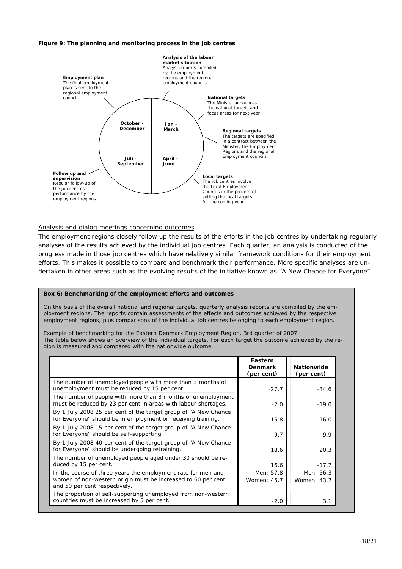#### *Figure 9: The planning and monitoring process in the job centres*



#### *Analysis and dialog meetings concerning outcomes*

The employment regions closely follow up the results of the efforts in the job centres by undertaking regularly analyses of the results achieved by the individual job centres. Each quarter, an analysis is conducted of the progress made in those job centres which have relatively similar framework conditions for their employment efforts. This makes it possible to compare and benchmark their performance. More specific analyses are undertaken in other areas such as the evolving results of the initiative known as "A New Chance for Everyone".

#### **Box 6: Benchmarking of the employment efforts and outcomes**

On the basis of the overall national and regional targets, quarterly analysis reports are compiled by the employment regions. The reports contain assessments of the effects and outcomes achieved by the respective employment regions, plus comparisons of the individual job centres belonging to each employment region.

#### *Example of benchmarking for the Eastern Denmark Employment Region, 3rd quarter of 2007:*

The table below shows an overview of the individual targets. For each target the outcome achieved by the region is measured and compared with the nationwide outcome.

|                                                                                                                                                               | Eastern<br><b>Denmark</b><br>(per cent) | <b>Nationwide</b><br>(per cent) |
|---------------------------------------------------------------------------------------------------------------------------------------------------------------|-----------------------------------------|---------------------------------|
| The number of unemployed people with more than 3 months of<br>unemployment must be reduced by 15 per cent.                                                    | $-27.7$                                 | $-34.6$                         |
| The number of people with more than 3 months of unemployment<br>must be reduced by 23 per cent in areas with labour shortages.                                | $-2.0$                                  | $-19.0$                         |
| By 1 July 2008 25 per cent of the target group of "A New Chance"<br>for Everyone" should be in employment or receiving training.                              | 15.8                                    | 16.0                            |
| By 1 July 2008 15 per cent of the target group of "A New Chance"<br>for Everyone" should be self-supporting.                                                  | 9.7                                     | 9.9                             |
| By 1 July 2008 40 per cent of the target group of "A New Chance<br>for Everyone" should be undergoing retraining.                                             | 18.6                                    | 20.3                            |
| The number of unemployed people aged under 30 should be re-<br>duced by 15 per cent.                                                                          | 16.6                                    | $-17.7$                         |
| In the course of three years the employment rate for men and<br>women of non-western origin must be increased to 60 per cent<br>and 50 per cent respectively. | Men: 57.8<br>Women: 45.7                | Men: 56.3<br>Women: 43.7        |
| The proportion of self-supporting unemployed from non-western<br>countries must be increased by 5 per cent.                                                   | $-2.0$                                  | 3.1                             |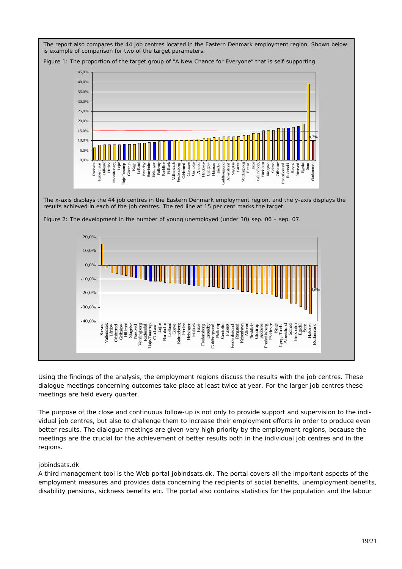The report also compares the 44 job centres located in the Eastern Denmark employment region. Shown below is example of comparison for two of the target parameters.



*Figure 1: The proportion of the target group of "A New Chance for Everyone" that is self-supporting* 

Using the findings of the analysis, the employment regions discuss the results with the job centres. These dialogue meetings concerning outcomes take place at least twice at year. For the larger job centres these meetings are held every quarter.

The purpose of the close and continuous follow-up is not only to provide support and supervision to the individual job centres, but also to challenge them to increase their employment efforts in order to produce even better results. The dialogue meetings are given very high priority by the employment regions, because the meetings are the crucial for the achievement of better results both in the individual job centres and in the regions.

# *jobindsats.dk*

A third management tool is the Web portal jobindsats.dk. The portal covers all the important aspects of the employment measures and provides data concerning the recipients of social benefits, unemployment benefits, disability pensions, sickness benefits etc. The portal also contains statistics for the population and the labour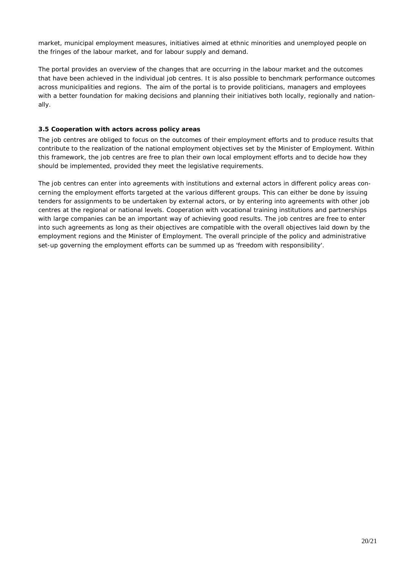market, municipal employment measures, initiatives aimed at ethnic minorities and unemployed people on the fringes of the labour market, and for labour supply and demand.

The portal provides an overview of the changes that are occurring in the labour market and the outcomes that have been achieved in the individual job centres. It is also possible to benchmark performance outcomes across municipalities and regions. The aim of the portal is to provide politicians, managers and employees with a better foundation for making decisions and planning their initiatives both locally, regionally and nationally.

# **3.5 Cooperation with actors across policy areas**

The job centres are obliged to focus on the outcomes of their employment efforts and to produce results that contribute to the realization of the national employment objectives set by the Minister of Employment. Within this framework, the job centres are free to plan their own local employment efforts and to decide how they should be implemented, provided they meet the legislative requirements.

The job centres can enter into agreements with institutions and external actors in different policy areas concerning the employment efforts targeted at the various different groups. This can either be done by issuing tenders for assignments to be undertaken by external actors, or by entering into agreements with other job centres at the regional or national levels. Cooperation with vocational training institutions and partnerships with large companies can be an important way of achieving good results. The job centres are free to enter into such agreements as long as their objectives are compatible with the overall objectives laid down by the employment regions and the Minister of Employment. The overall principle of the policy and administrative set-up governing the employment efforts can be summed up as 'freedom with responsibility'.